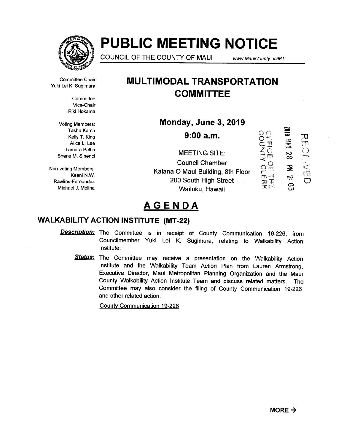

# PUBLIC MEETING NOTICE

COUNCIL OF THE COUNTY OF MAUI www.MauiCounty. us/MT

Committee Chair Yuki Lei K. Sugimura

> **Committee** Vice-Chair Riki Hokama

Voting Members: Shane M. Sinenci

Non-voting Members: Rawlins-Fernandez Michael J. Molina

# MULTIMODAL TRANSPORTATION **COMMITTEE**

Monday, June 3, 2019

Tasha Kama ~ 610Z **COUNTING THE** Kelly T. King  $\overline{\mathbf{S}}$  and  $\overline{\mathbf{S}}$  and  $\overline{\mathbf{S}}$  and  $\overline{\mathbf{S}}$  $\frac{1}{2}$  $\overline{C}$   $\overline{C}$   $\overline{C}$   $\overline{C}$   $\overline{C}$   $\overline{C}$   $\overline{C}$   $\overline{C}$   $\overline{C}$   $\overline{C}$   $\overline{C}$   $\overline{C}$   $\overline{C}$   $\overline{C}$   $\overline{C}$   $\overline{C}$   $\overline{C}$   $\overline{C}$   $\overline{C}$   $\overline{C}$   $\overline{C}$   $\overline{C}$   $\overline{C}$   $\overline{C}$   $\overline{$ m  $\overline{z}$   $\overline{z}$   $\overline{z}$   $\overline{z}$   $\overline{z}$   $\overline{z}$   $\overline{z}$   $\overline{z}$   $\overline{z}$   $\overline{z}$   $\overline{z}$   $\overline{z}$   $\overline{z}$   $\overline{z}$   $\overline{z}$   $\overline{z}$   $\overline{z}$   $\overline{z}$   $\overline{z}$   $\overline{z}$   $\overline{z}$   $\overline{z}$   $\overline{z}$   $\overline{z}$   $\overline{$ 8<br>8  $^{''}$ MEETING SITE: m Council Chamber  $\mathbf{R}$ וד <sub>ה</sub>א Members:<br>Keani N.W. משפט Kalana O Maui Building, 8th Floor fT  $\ddot{\sim}$ 200 South High Street **C** ្លុ Wailuku, Hawaii

# AGENDA

## WALKABILITY ACTION INSTITUTE (MT-22)

**Description:** The Committee is in receipt of County Communication 19-226, from Councilmember Yuki Lei K. Sugimura, relating to Walkability Action Institute.

Status: The Committee may receive a presentation on the Walkability Action Institute and the Walkability Team Action Plan from Lauren Armstrong, Executive Director, Maui Metropolitan Planning Organization and the Maui County Walkability Action Institute Team and discuss related matters. The Committee may also consider the filing of County Communication 19-226 and other related action.

County Communication 19-226